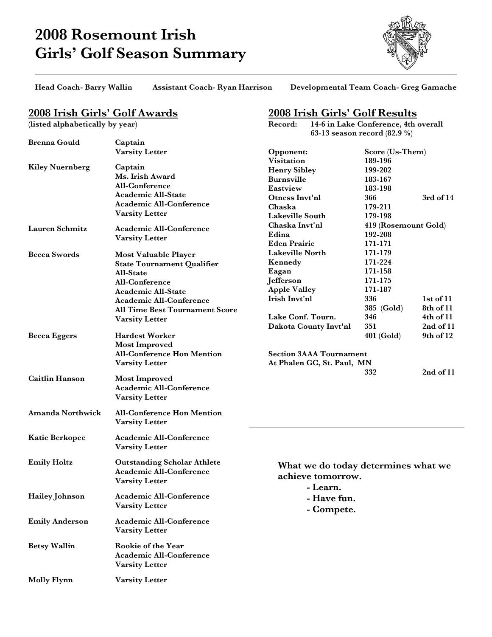# **2008 Rosemount Irish Girls' Golf Season Summary**



**Head Coach- Barry Wallin Assistant Coach- Ryan Harrison Developmental Team Coach- Greg Gamache**

**Record: 14-6 in Lake Conference, 4th overall**

**63-13 season record (82.9 %)**

**2008 Irish Girls' Golf Results**

## **2008 Irish Girls' Golf Awards**

**(listed alphabetically by year)**

| <b>Brenna Gould</b>    | Captain                               |                                     |                      |               |  |
|------------------------|---------------------------------------|-------------------------------------|----------------------|---------------|--|
|                        | <b>Varsity Letter</b>                 | Opponent:                           | Score (Us-Them)      |               |  |
|                        |                                       | <b>Visitation</b>                   | 189-196              |               |  |
| <b>Kiley Nuernberg</b> | Captain                               | <b>Henry Sibley</b>                 | 199-202              |               |  |
|                        | Ms. Irish Award                       | <b>Burnsville</b>                   | 183-167              |               |  |
|                        | All-Conference                        | Eastview                            | 183-198              |               |  |
|                        | <b>Academic All-State</b>             | Otness Invt'nl                      | 366                  | $3rd$ of $14$ |  |
|                        | <b>Academic All-Conference</b>        | Chaska                              | 179-211              |               |  |
|                        | Varsity Letter                        | <b>Lakeville South</b>              | 179-198              |               |  |
| Lauren Schmitz         |                                       | Chaska Invt'nl                      | 419 (Rosemount Gold) |               |  |
|                        | <b>Academic All-Conference</b>        | Edina                               | 192-208              |               |  |
|                        | <b>Varsity Letter</b>                 | <b>Eden Prairie</b>                 | 171-171              |               |  |
|                        |                                       | <b>Lakeville North</b>              | 171-179              |               |  |
| <b>Becca Swords</b>    | Most Valuable Player                  | Kennedy                             | 171-224              |               |  |
|                        | <b>State Tournament Qualifier</b>     | Eagan                               | 171-158              |               |  |
|                        | All-State                             | Jefferson                           | 171-175              |               |  |
|                        | All-Conference                        | <b>Apple Valley</b>                 | 171-187              |               |  |
|                        | Academic All-State                    | Irish Invt'nl                       | 336                  | $1st$ of $11$ |  |
|                        | <b>Academic All-Conference</b>        |                                     |                      | 8th of 11     |  |
|                        | <b>All Time Best Tournament Score</b> | Lake Conf. Tourn.                   | 385 (Gold)<br>346    | 4th of 11     |  |
|                        | <b>Varsity Letter</b>                 |                                     | 351                  | 2nd of 11     |  |
|                        |                                       | Dakota County Invt'nl               |                      |               |  |
| <b>Becca Eggers</b>    | <b>Hardest Worker</b>                 |                                     | 401 (Gold)           | 9th of 12     |  |
|                        | <b>Most Improved</b>                  |                                     |                      |               |  |
|                        | <b>All-Conference Hon Mention</b>     | <b>Section 3AAA Tournament</b>      |                      |               |  |
|                        | <b>Varsity Letter</b>                 | At Phalen GC, St. Paul, MN          |                      |               |  |
| <b>Caitlin Hanson</b>  | <b>Most Improved</b>                  |                                     | 332                  | 2nd of 11     |  |
|                        | <b>Academic All-Conference</b>        |                                     |                      |               |  |
|                        | <b>Varsity Letter</b>                 |                                     |                      |               |  |
|                        |                                       |                                     |                      |               |  |
| Amanda Northwick       | <b>All-Conference Hon Mention</b>     |                                     |                      |               |  |
|                        | <b>Varsity Letter</b>                 |                                     |                      |               |  |
| <b>Katie Berkopec</b>  | <b>Academic All-Conference</b>        |                                     |                      |               |  |
|                        | <b>Varsity Letter</b>                 |                                     |                      |               |  |
| <b>Emily Holtz</b>     | <b>Outstanding Scholar Athlete</b>    | What we do today determines what we |                      |               |  |
|                        | <b>Academic All-Conference</b>        | achieve tomorrow.                   |                      |               |  |
|                        | <b>Varsity Letter</b>                 |                                     |                      |               |  |
|                        |                                       | - Learn.                            |                      |               |  |
| Hailey Johnson         | Academic All-Conference               | - Have fun.                         |                      |               |  |
|                        | <b>Varsity Letter</b>                 | - Compete.                          |                      |               |  |
|                        |                                       |                                     |                      |               |  |
| <b>Emily Anderson</b>  | <b>Academic All-Conference</b>        |                                     |                      |               |  |
|                        | <b>Varsity Letter</b>                 |                                     |                      |               |  |
| <b>Betsy Wallin</b>    | Rookie of the Year                    |                                     |                      |               |  |
|                        | Academic All-Conference               |                                     |                      |               |  |
|                        | <b>Varsity Letter</b>                 |                                     |                      |               |  |
|                        |                                       |                                     |                      |               |  |
| <b>Molly Flynn</b>     | <b>Varsity Letter</b>                 |                                     |                      |               |  |